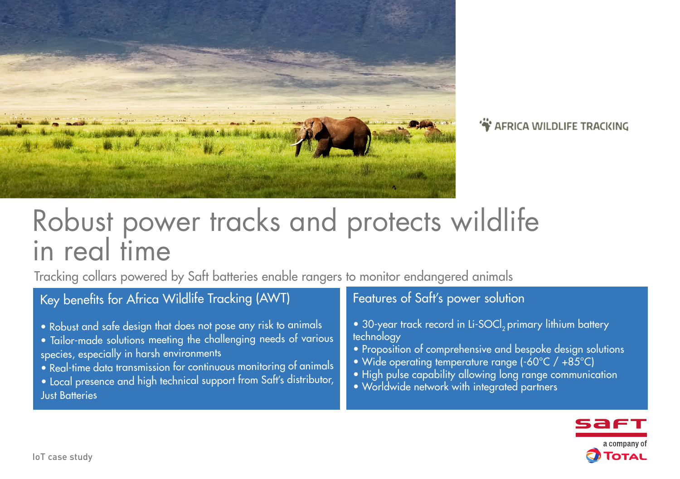

## **S** AFRICA WILDLIFE TRACKING

# Robust power tracks and protects wildlife in real time

Tracking collars powered by Saft batteries enable rangers to monitor endangered animals

## Key benefits for Africa Wildlife Tracking (AWT)

- Robust and safe design that does not pose any risk to animals
- Tailor-made solutions meeting the challenging needs of various species, especially in harsh environments
- Real-time data transmission for continuous monitoring of animals
- Local presence and high technical support from Saft's distributor, Just Batteries

## Features of Saft's power solution

- 30-year track record in Li-SOCl<sub>2</sub> primary lithium battery technology
- Proposition of comprehensive and bespoke design solutions
- Wide operating temperature range (-60°C / +85°C)
- High pulse capability allowing long range communication
- Worldwide network with integrated partners